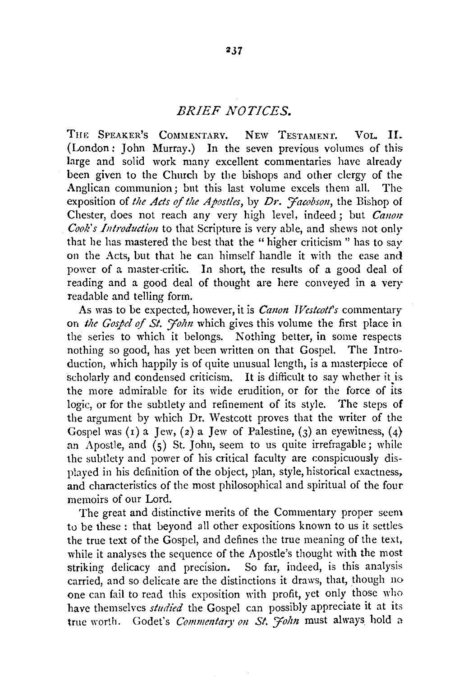## *BRIEF NOTICES.*

THE SPEAKER'S COMMENTARY. NEW TESTAMENT. VOL. II. (London: John Murray.) In the seven previous volumes of this large and solid work many excellent commentaries have already been given to the Church by the bishops and other clergy of the Anglican communion; but this last volume excels them all. The exposition of *the Acts of the Apostles*, by Dr. *Facobson*, the Bishop of Chester, does not reach any very high level, indeed; but *Canon Cook's Introduction* to that Scripture is very able, and shews not only that he has mastered the best that the "higher criticism " has to say on the Acts, but that he can himself handle it with the ease and power of a master-critic. In short, the results of a good deal of reading and a good deal of thought are here conveyed in a very readable and telling form.

As was to be expected, however, it is *Canon Westcott's* commentary on the Gospel of St. John which gives this volume the first place in the series to which it belongs. Nothing better, in some respects nothing so good, has yet been written on that Gospel. The Introduction, which happily is of quite unusual length, is a masterpiece of scholarly and condensed criticism. It is difficult to say whether it is the more admirable for its wide erudition, or for the force of its logic, or for the subtlety and refinement of its style. The steps of the argument by which Dr. Westcott proves that the writer of the Gospel was (1) a Jew, (2) a Jew of Palestine, (3) an eyewitness, (4) an Apostle, and  $(s)$  St. John, seem to us quite irrefragable; while the subtlety and power of his critical faculty are conspicuously displayed in his definition of the object, plan, style, historical exactness, and characteristics of the most philosophical and spiritual of the four memoirs of our Lord.

The great and distinctive merits of the Commentary proper seem to be these : that beyond all other expositions known to us it settles. the true text of the Gospel, and defines the true meaning of the text, while it analyses the sequence of the Apostle's thought with the most striking delicacy and precision. So far, indeed, is this analysis striking delicacy and precision. carried, and so delicate are the distinctions it draws, that, though no one can fail to read this exposition with profit, yet only those who have themselves *studied* the Gospel can possibly appreciate it at its true worth. Godet's *Commentary on St. Folm* must always hold a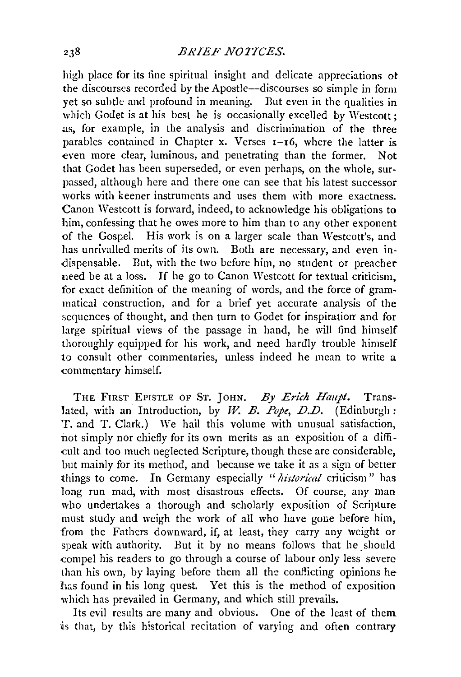high place for its fine spiritual insight and delicate appreciations of the discourses recorded Ly the Apostle-discourses so simple in form yet so subtle and profound in meaning. But even in the qualities in which Godet is at his best he is occasionally excelled by Westcott; as, for example, in the analysis and discrimination of the three parables contained in Chapter x. Verses 1-16, where the latter is even more clear, luminous, and penetrating than the former. Not that Godet has been superseded, or even perhaps, on the whole, surpassed, although here and there one can see that his latest successor works with keener instruments and uses them with more exactness. Canon Westcott is forward, indeed, to acknowledge his obligations to him, confessing that he owes more to him than to any other exponent of the Gospel. His work is on a larger scale than Westcott's, and has unrivalled merits of its own. Both are necessary, and even indispensable. But, with the two before him, no student or preacher need be at a loss. If he go to Canon Westcott for textual criticism, for exact definition of the meaning of words, and the force of grammatical construction, and for a brief yet accurate analysis of the sequences of thought, and then turn to Godet for inspiration and for large spiritual views of the passage in hand, he will find himself thoroughly equipped for his work, and need hardly trouble himself to consult other commentaries, unless indeed he mean to write a commentary himself.

THE FIRST EPISTLE OF ST. JOHN. *By Erich Haupt.* Translated, with an Introduction, by *W. B. Pope*, *D.D.* (Edinburgh: T. and T. Clark.) We hail this volume with unusual satisfaction, not simply nor chiefly for its own merits as an exposition of a diffi cult and too much neglected Scripture, though these are considerable, but mainly for its method, and because we take it as a sign of better things to come. In Germany especially *"historical* criticism" has long run mad, with most disastrous effects. Of course, any man who undertakes a thorough and scholarly exposition of Scripture must study and weigh the work of all who have gone before him, from the Fathers downward, if, at least, they carry any weight or speak with authority. But it by no means follows that he should compel his readers to go through a course of labour only less severe than his own, by laying before them all the conflicting opinions he has found in his long quest. Yet this is the method of exposition which has prevailed in Germany, and which still prevails.

Its evil results are many and obvious. One of the least of them is that, by this historical recitation of varying and often contrary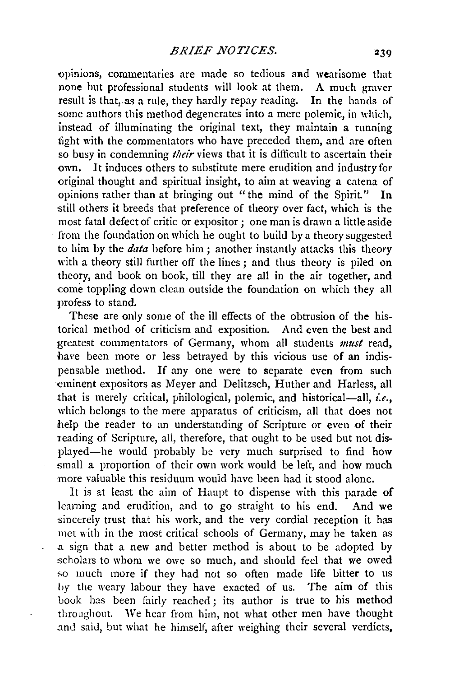opinions, commentaries are made so tedious and wearisome that none but professional students will look at them. A much graver result is that, as a rule, they hardly repay reading. In the hands of some authors this method degenerates into a mere polemic, in which, instead of illuminating the original text, they maintain a running fight with the commentators who have preceded them, and are often so busy in condemning *their* views that it is difficult to ascertain their own. It induces others to substitute mere erudition and industry for original thought and spiritual insight, to aim at weaving a catena of opinions rather than at bringing out "the mind of the Spirit." In still others it breeds that preference of theory over fact, which is the most fatal defect of critic or expositor; one man is drawn a little aside from the foundation on which he ought to build by a theory suggested to him by the *data* before him; another instantly attacks this theory with a theory still further off the lines ; and thus theory is piled on theory, and book on book, till they are all in the air together, and come toppling down clean outside the foundation on which they all profess to starid.

These are only some of the ill effects of the obtrusion of the historical method of criticism and exposition. And even the best and greatest commentators of Germany, whom all students *must* read, have been more or less betrayed by this vicious use of an indispensable method. If any one were to separate even from such eminent expositors as Meyer and Delitzsch, Huther and Harless, all that is merely critical, philological, polemic, and historical-all, *i.e.*, which belongs to the mere apparatus of criticism, all that does not help the reader to an understanding of Scripture or even of their reading of Scripture, all, therefore, that ought to be used but not displayed-he would probably be very much surprised to find how small a proportion of their own work would be left, and how much more valuable this residuum would have been had it stood alone.

It is at least the aim of Haupt to dispense with this parade of learning and erudition, and to go straight to his end. And we sincerely trust that his work, and the very cordial reception it has met with in the most critical schools of Germany, may be taken as a sign that a new and better method is about to be adopted by scholars to whom we owe so much, and should feel that we owed so much more if they had not so often made life bitter to us by the weary labour they have exacted of us. The aim of this book has been fairly reached; its author is true to his method throughout. \Ve hear from him, not what other men have thought and said, but what he himself, after weighing their several verdicts,